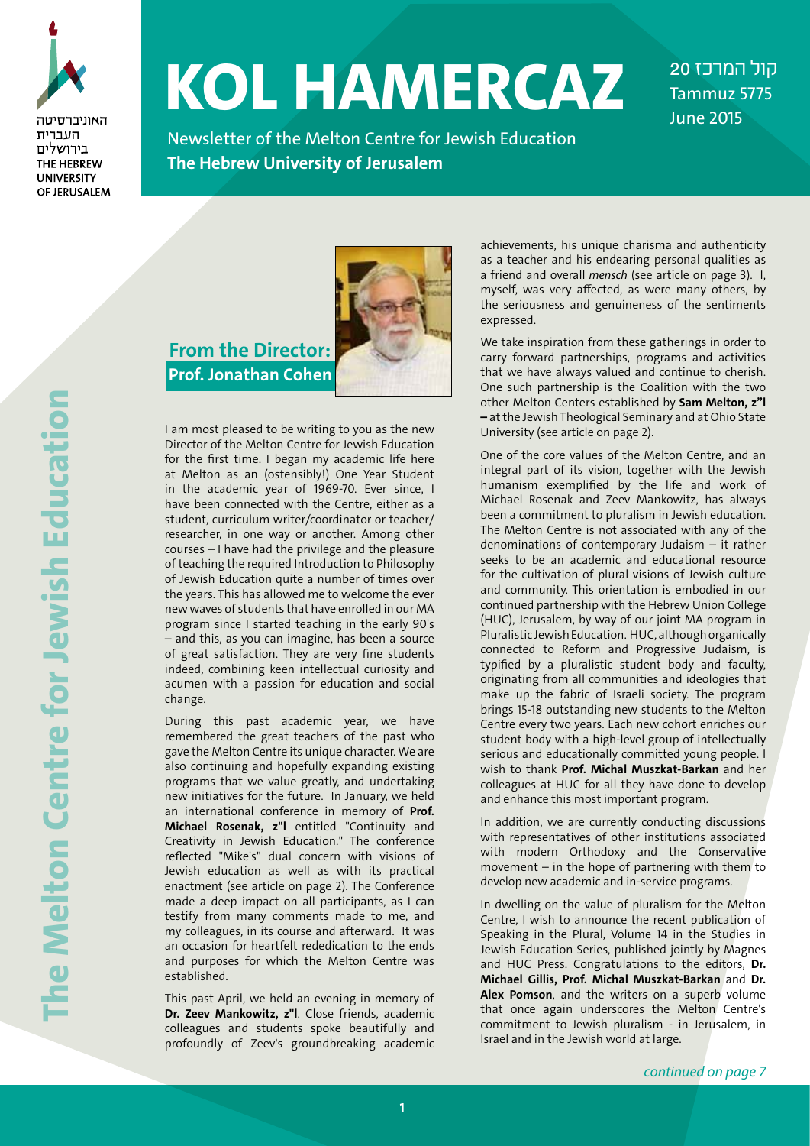

האוויררסינוה העברית בירושלים THE HEBREW **UNIVERSITY** OF JERUSALEM

# **KOL HAMERCAZ**

Newsletter of the Melton Centre for Jewish Education **The Hebrew University of Jerusalem**

*קול המרכז 20*Tammuz 5775 June 2015

 **From the Director: Prof. Jonathan Cohen**



I am most pleased to be writing to you as the new Director of the Melton Centre for Jewish Education for the first time. I began my academic life here at Melton as an (ostensibly!) One Year Student in the academic year of 1969-70. Ever since, I have been connected with the Centre, either as a student, curriculum writer/coordinator or teacher/ researcher, in one way or another. Among other courses – I have had the privilege and the pleasure of teaching the required Introduction to Philosophy of Jewish Education quite a number of times over the years. This has allowed me to welcome the ever new waves of students that have enrolled in our MA program since I started teaching in the early 90's – and this, as you can imagine, has been a source of great satisfaction. They are very fine students indeed, combining keen intellectual curiosity and acumen with a passion for education and social change.

During this past academic year, we have remembered the great teachers of the past who gave the Melton Centre its unique character. We are also continuing and hopefully expanding existing programs that we value greatly, and undertaking new initiatives for the future. In January, we held an international conference in memory of **Prof. Michael Rosenak, z"l** entitled "Continuity and Creativity in Jewish Education." The conference reflected "Mike's" dual concern with visions of Jewish education as well as with its practical enactment (see article on page 2). The Conference made a deep impact on all participants, as I can testify from many comments made to me, and my colleagues, in its course and afterward. It was an occasion for heartfelt rededication to the ends and purposes for which the Melton Centre was established.

This past April, we held an evening in memory of **Dr. Zeev Mankowitz, z"l**. Close friends, academic colleagues and students spoke beautifully and profoundly of Zeev's groundbreaking academic achievements, his unique charisma and authenticity as a teacher and his endearing personal qualities as a friend and overall *mensch* (see article on page 3). I, myself, was very affected, as were many others, by the seriousness and genuineness of the sentiments expressed.

We take inspiration from these gatherings in order to carry forward partnerships, programs and activities that we have always valued and continue to cherish. One such partnership is the Coalition with the two other Melton Centers established by **Sam Melton, z"l –** at the Jewish Theological Seminary and at Ohio State University (see article on page 2).

One of the core values of the Melton Centre, and an integral part of its vision, together with the Jewish humanism exemplified by the life and work of Michael Rosenak and Zeev Mankowitz, has always been a commitment to pluralism in Jewish education. The Melton Centre is not associated with any of the denominations of contemporary Judaism – it rather seeks to be an academic and educational resource for the cultivation of plural visions of Jewish culture and community. This orientation is embodied in our continued partnership with the Hebrew Union College (HUC), Jerusalem, by way of our joint MA program in Pluralistic Jewish Education. HUC, although organically connected to Reform and Progressive Judaism, is typified by a pluralistic student body and faculty, originating from all communities and ideologies that make up the fabric of Israeli society. The program brings 15-18 outstanding new students to the Melton Centre every two years. Each new cohort enriches our student body with a high-level group of intellectually serious and educationally committed young people. I wish to thank **Prof. Michal Muszkat-Barkan** and her colleagues at HUC for all they have done to develop and enhance this most important program.

In addition, we are currently conducting discussions with representatives of other institutions associated with modern Orthodoxy and the Conservative movement – in the hope of partnering with them to develop new academic and in-service programs.

In dwelling on the value of pluralism for the Melton Centre, I wish to announce the recent publication of Speaking in the Plural, Volume 14 in the Studies in Jewish Education Series, published jointly by Magnes and HUC Press. Congratulations to the editors, **Dr. Michael Gillis, Prof. Michal Muszkat-Barkan** and **Dr.**  Alex Pomson, and the writers on a superb volume that once again underscores the Melton Centre's commitment to Jewish pluralism - in Jerusalem, in Israel and in the Jewish world at large.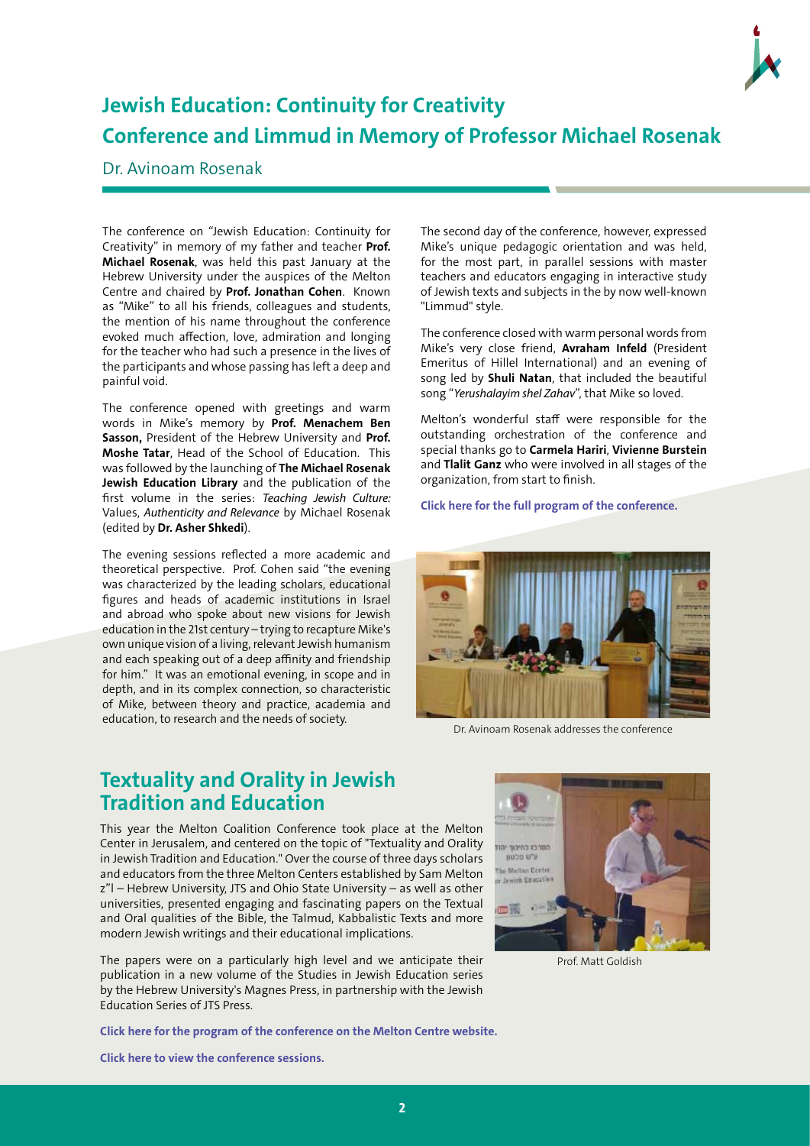

## **Jewish Education: Continuity for Creativity Conference and Limmud in Memory of Professor Michael Rosenak**

#### Dr. Avinoam Rosenak

The conference on "Jewish Education: Continuity for Creativity" in memory of my father and teacher **Prof. Michael Rosenak**, was held this past January at the Hebrew University under the auspices of the Melton Centre and chaired by **Prof. Jonathan Cohen**. Known as "Mike" to all his friends, colleagues and students, the mention of his name throughout the conference evoked much affection, love, admiration and longing for the teacher who had such a presence in the lives of the participants and whose passing has left a deep and painful void.

The conference opened with greetings and warm words in Mike's memory by **Prof. Menachem Ben Sasson,** President of the Hebrew University and **Prof. Moshe Tatar**, Head of the School of Education. This was followed by the launching of **The Michael Rosenak Jewish Education Library** and the publication of the first volume in the series: *Teaching Jewish Culture:* Values, *Authenticity and Relevance* by Michael Rosenak (edited by **Dr. Asher Shkedi**).

The evening sessions reflected a more academic and theoretical perspective. Prof. Cohen said "the evening was characterized by the leading scholars, educational figures and heads of academic institutions in Israel and abroad who spoke about new visions for Jewish education in the 21st century – trying to recapture Mike's own unique vision of a living, relevant Jewish humanism and each speaking out of a deep affinity and friendship for him." It was an emotional evening, in scope and in depth, and in its complex connection, so characteristic of Mike, between theory and practice, academia and education, to research and the needs of society.

The second day of the conference, however, expressed Mike's unique pedagogic orientation and was held, for the most part, in parallel sessions with master teachers and educators engaging in interactive study of Jewish texts and subjects in the by now well-known "Limmud" style.

The conference closed with warm personal words from Mike's very close friend, **Avraham Infeld** (President Emeritus of Hillel International) and an evening of song led by **Shuli Natan**, that included the beautiful song "*Yerushalayim shel Zahav*", that Mike so loved.

Melton's wonderful staff were responsible for the outstanding orchestration of the conference and special thanks go to **Carmela Hariri**, **Vivienne Burstein** and **Tlalit Ganz** who were involved in all stages of the organization, from start to finish.

**[Click here for the full program of the conference.](http://melton.huji.ac.il/index.php/en/academic-activities/conferences/jewish-education-continuity-for-creativity)**



Dr. Avinoam Rosenak addresses the conference

#### **Textuality and Orality in Jewish Tradition and Education**

This year the Melton Coalition Conference took place at the Melton Center in Jerusalem, and centered on the topic of "Textuality and Orality in Jewish Tradition and Education." Over the course of three days scholars and educators from the three Melton Centers established by Sam Melton z"l – Hebrew University, JTS and Ohio State University – as well as other universities, presented engaging and fascinating papers on the Textual and Oral qualities of the Bible, the Talmud, Kabbalistic Texts and more modern Jewish writings and their educational implications.

The papers were on a particularly high level and we anticipate their publication in a new volume of the Studies in Jewish Education series by the Hebrew University's Magnes Press, in partnership with the Jewish Education Series of JTS Press.

**[Click here for the program of the conference on the Melton Centre website.](http://melton.huji.ac.il/index.php/en/academic-activities/conferences/the-oral-and-the-textual)**



Prof. Matt Goldish

**[Click here to view the conference sessions.](https://www.youtube.com/watch?v=3kHcMXIXPP4&list=PLZvY_8XcbZrTxlpq_Qk-LDUwIX7W4p2tA)**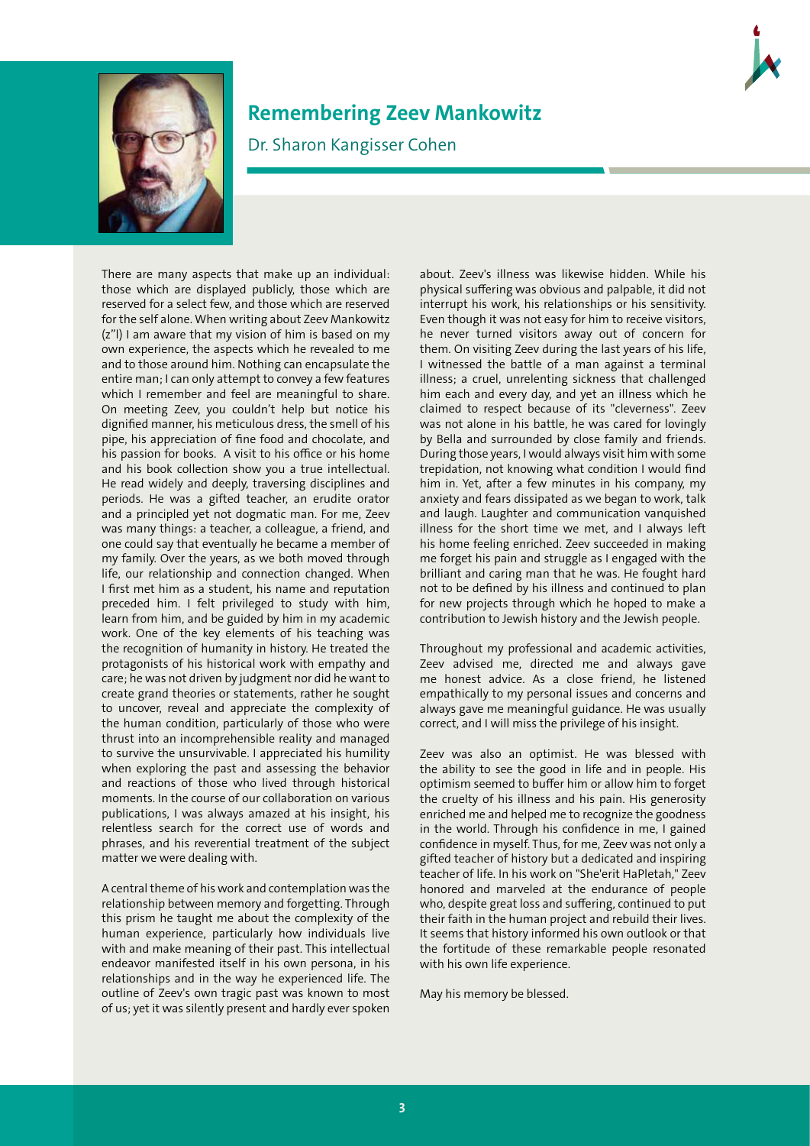

#### **Remembering Zeev Mankowitz**

Dr. Sharon Kangisser Cohen

There are many aspects that make up an individual: those which are displayed publicly, those which are reserved for a select few, and those which are reserved for the self alone. When writing about Zeev Mankowitz (z"l) I am aware that my vision of him is based on my own experience, the aspects which he revealed to me and to those around him. Nothing can encapsulate the entire man; I can only attempt to convey a few features which I remember and feel are meaningful to share. On meeting Zeev, you couldn't help but notice his dignified manner, his meticulous dress, the smell of his pipe, his appreciation of fine food and chocolate, and his passion for books. A visit to his office or his home and his book collection show you a true intellectual. He read widely and deeply, traversing disciplines and periods. He was a gifted teacher, an erudite orator and a principled yet not dogmatic man. For me, Zeev was many things: a teacher, a colleague, a friend, and one could say that eventually he became a member of my family. Over the years, as we both moved through life, our relationship and connection changed. When I first met him as a student, his name and reputation preceded him. I felt privileged to study with him, learn from him, and be guided by him in my academic work. One of the key elements of his teaching was the recognition of humanity in history. He treated the protagonists of his historical work with empathy and care; he was not driven by judgment nor did he want to create grand theories or statements, rather he sought to uncover, reveal and appreciate the complexity of the human condition, particularly of those who were thrust into an incomprehensible reality and managed to survive the unsurvivable. I appreciated his humility when exploring the past and assessing the behavior and reactions of those who lived through historical moments. In the course of our collaboration on various publications, I was always amazed at his insight, his relentless search for the correct use of words and phrases, and his reverential treatment of the subject matter we were dealing with.

A central theme of his work and contemplation was the relationship between memory and forgetting. Through this prism he taught me about the complexity of the human experience, particularly how individuals live with and make meaning of their past. This intellectual endeavor manifested itself in his own persona, in his relationships and in the way he experienced life. The outline of Zeev's own tragic past was known to most of us; yet it was silently present and hardly ever spoken

about. Zeev's illness was likewise hidden. While his physical suffering was obvious and palpable, it did not interrupt his work, his relationships or his sensitivity. Even though it was not easy for him to receive visitors, he never turned visitors away out of concern for them. On visiting Zeev during the last years of his life, I witnessed the battle of a man against a terminal illness; a cruel, unrelenting sickness that challenged him each and every day, and yet an illness which he claimed to respect because of its "cleverness". Zeev was not alone in his battle, he was cared for lovingly by Bella and surrounded by close family and friends. During those years, I would always visit him with some trepidation, not knowing what condition I would find him in. Yet, after a few minutes in his company, my anxiety and fears dissipated as we began to work, talk and laugh. Laughter and communication vanquished illness for the short time we met, and I always left his home feeling enriched. Zeev succeeded in making me forget his pain and struggle as I engaged with the brilliant and caring man that he was. He fought hard not to be defined by his illness and continued to plan for new projects through which he hoped to make a contribution to Jewish history and the Jewish people.

Throughout my professional and academic activities, Zeev advised me, directed me and always gave me honest advice. As a close friend, he listened empathically to my personal issues and concerns and always gave me meaningful guidance. He was usually correct, and I will miss the privilege of his insight.

Zeev was also an optimist. He was blessed with the ability to see the good in life and in people. His optimism seemed to buffer him or allow him to forget the cruelty of his illness and his pain. His generosity enriched me and helped me to recognize the goodness in the world. Through his confidence in me, I gained confidence in myself. Thus, for me, Zeev was not only a gifted teacher of history but a dedicated and inspiring teacher of life. In his work on "She'erit HaPletah," Zeev honored and marveled at the endurance of people who, despite great loss and suffering, continued to put their faith in the human project and rebuild their lives. It seems that history informed his own outlook or that the fortitude of these remarkable people resonated with his own life experience.

May his memory be blessed.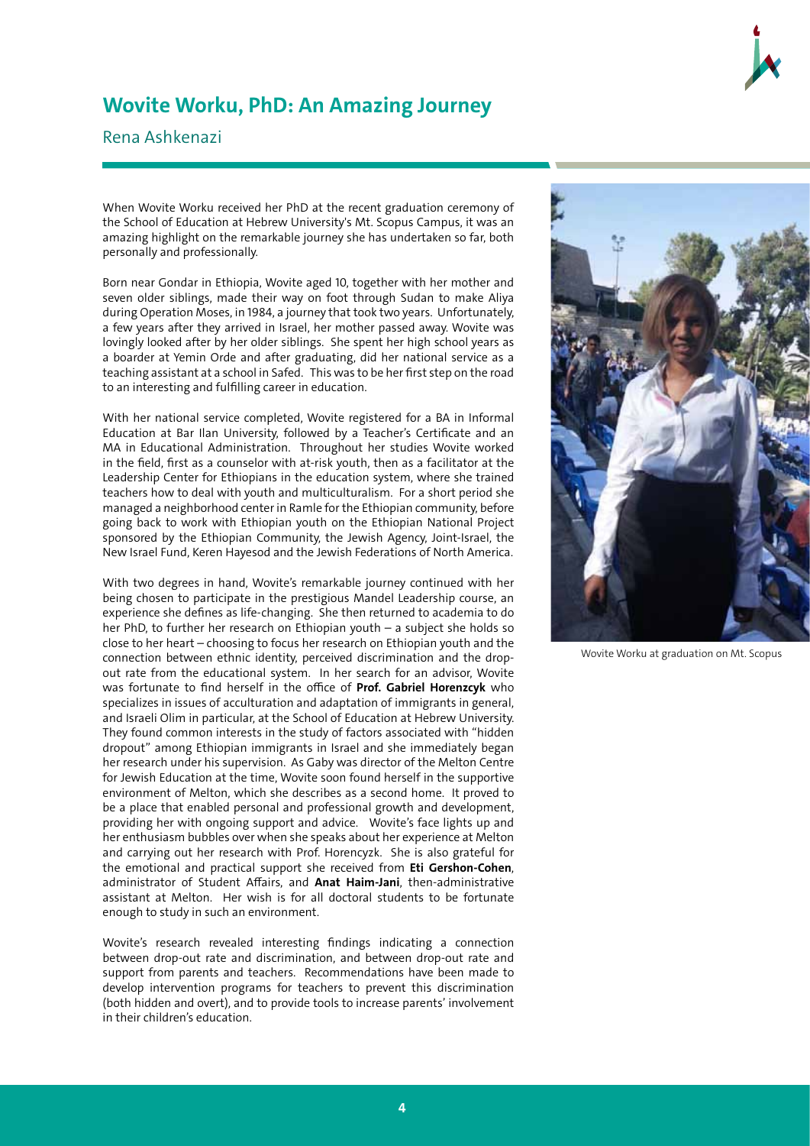

### **Wovite Worku, PhD: An Amazing Journey**

Rena Ashkenazi

When Wovite Worku received her PhD at the recent graduation ceremony of the School of Education at Hebrew University's Mt. Scopus Campus, it was an amazing highlight on the remarkable journey she has undertaken so far, both personally and professionally.

Born near Gondar in Ethiopia, Wovite aged 10, together with her mother and seven older siblings, made their way on foot through Sudan to make Aliya during Operation Moses, in 1984, a journey that took two years. Unfortunately, a few years after they arrived in Israel, her mother passed away. Wovite was lovingly looked after by her older siblings. She spent her high school years as a boarder at Yemin Orde and after graduating, did her national service as a teaching assistant at a school in Safed. This was to be her first step on the road to an interesting and fulfilling career in education.

With her national service completed, Wovite registered for a BA in Informal Education at Bar Ilan University, followed by a Teacher's Certificate and an MA in Educational Administration. Throughout her studies Wovite worked in the field, first as a counselor with at-risk youth, then as a facilitator at the Leadership Center for Ethiopians in the education system, where she trained teachers how to deal with youth and multiculturalism. For a short period she managed a neighborhood center in Ramle for the Ethiopian community, before going back to work with Ethiopian youth on the Ethiopian National Project sponsored by the Ethiopian Community, the Jewish Agency, Joint-Israel, the New Israel Fund, Keren Hayesod and the Jewish Federations of North America.

With two degrees in hand, Wovite's remarkable journey continued with her being chosen to participate in the prestigious Mandel Leadership course, an experience she defines as life-changing. She then returned to academia to do her PhD, to further her research on Ethiopian youth – a subject she holds so close to her heart – choosing to focus her research on Ethiopian youth and the connection between ethnic identity, perceived discrimination and the dropout rate from the educational system. In her search for an advisor, Wovite was fortunate to find herself in the office of **Prof. Gabriel Horenzcyk** who specializes in issues of acculturation and adaptation of immigrants in general, and Israeli Olim in particular, at the School of Education at Hebrew University. They found common interests in the study of factors associated with "hidden dropout" among Ethiopian immigrants in Israel and she immediately began her research under his supervision. As Gaby was director of the Melton Centre for Jewish Education at the time, Wovite soon found herself in the supportive environment of Melton, which she describes as a second home. It proved to be a place that enabled personal and professional growth and development, providing her with ongoing support and advice. Wovite's face lights up and her enthusiasm bubbles over when she speaks about her experience at Melton and carrying out her research with Prof. Horencyzk. She is also grateful for the emotional and practical support she received from **Eti Gershon-Cohen**, administrator of Student Affairs, and **Anat Haim-Jani**, then-administrative assistant at Melton. Her wish is for all doctoral students to be fortunate enough to study in such an environment.

Wovite's research revealed interesting findings indicating a connection between drop-out rate and discrimination, and between drop-out rate and support from parents and teachers. Recommendations have been made to develop intervention programs for teachers to prevent this discrimination (both hidden and overt), and to provide tools to increase parents' involvement in their children's education.



Wovite Worku at graduation on Mt. Scopus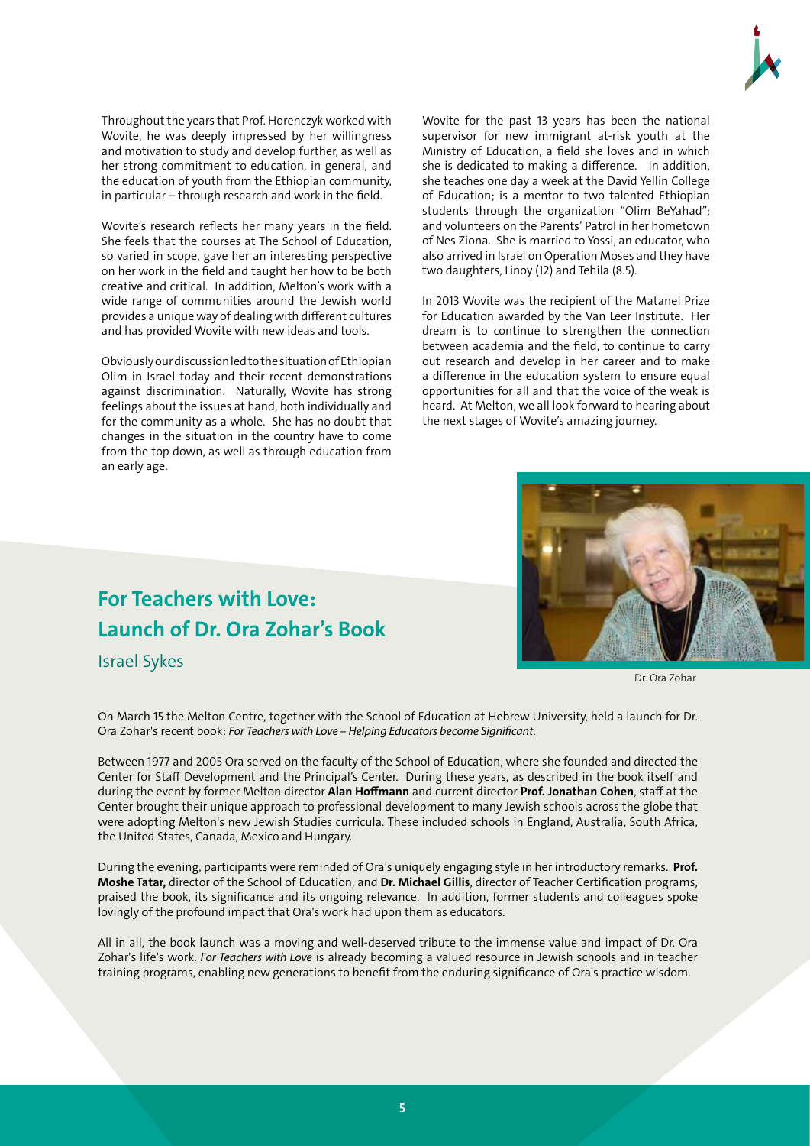

Throughout the years that Prof. Horenczyk worked with Wovite, he was deeply impressed by her willingness and motivation to study and develop further, as well as her strong commitment to education, in general, and the education of youth from the Ethiopian community, in particular – through research and work in the field.

Wovite's research reflects her many years in the field. She feels that the courses at The School of Education, so varied in scope, gave her an interesting perspective on her work in the field and taught her how to be both creative and critical. In addition, Melton's work with a wide range of communities around the Jewish world provides a unique way of dealing with different cultures and has provided Wovite with new ideas and tools.

Obviously our discussion led to the situation of Ethiopian Olim in Israel today and their recent demonstrations against discrimination. Naturally, Wovite has strong feelings about the issues at hand, both individually and for the community as a whole. She has no doubt that changes in the situation in the country have to come from the top down, as well as through education from an early age.

Wovite for the past 13 years has been the national supervisor for new immigrant at-risk youth at the Ministry of Education, a field she loves and in which she is dedicated to making a difference. In addition, she teaches one day a week at the David Yellin College of Education; is a mentor to two talented Ethiopian students through the organization "Olim BeYahad"; and volunteers on the Parents' Patrol in her hometown of Nes Ziona. She is married to Yossi, an educator, who also arrived in Israel on Operation Moses and they have two daughters, Linoy (12) and Tehila (8.5).

In 2013 Wovite was the recipient of the Matanel Prize for Education awarded by the Van Leer Institute. Her dream is to continue to strengthen the connection between academia and the field, to continue to carry out research and develop in her career and to make a difference in the education system to ensure equal opportunities for all and that the voice of the weak is heard. At Melton, we all look forward to hearing about the next stages of Wovite's amazing journey.



Dr. Ora Zohar

## **For Teachers with Love: Launch of Dr. Ora Zohar's Book**

Israel Sykes

On March 15 the Melton Centre, together with the School of Education at Hebrew University, held a launch for Dr. Ora Zohar's recent book: *For Teachers with Love – Helping Educators become Significant*.

Between 1977 and 2005 Ora served on the faculty of the School of Education, where she founded and directed the Center for Staff Development and the Principal's Center. During these years, as described in the book itself and during the event by former Melton director **Alan Hoffmann** and current director **Prof. Jonathan Cohen**, staff at the Center brought their unique approach to professional development to many Jewish schools across the globe that were adopting Melton's new Jewish Studies curricula. These included schools in England, Australia, South Africa, the United States, Canada, Mexico and Hungary.

During the evening, participants were reminded of Ora's uniquely engaging style in her introductory remarks. **Prof. Moshe Tatar,** director of the School of Education, and **Dr. Michael Gillis**, director of Teacher Certification programs, praised the book, its significance and its ongoing relevance. In addition, former students and colleagues spoke lovingly of the profound impact that Ora's work had upon them as educators.

All in all, the book launch was a moving and well-deserved tribute to the immense value and impact of Dr. Ora Zohar's life's work. *For Teachers with Love* is already becoming a valued resource in Jewish schools and in teacher training programs, enabling new generations to benefit from the enduring significance of Ora's practice wisdom.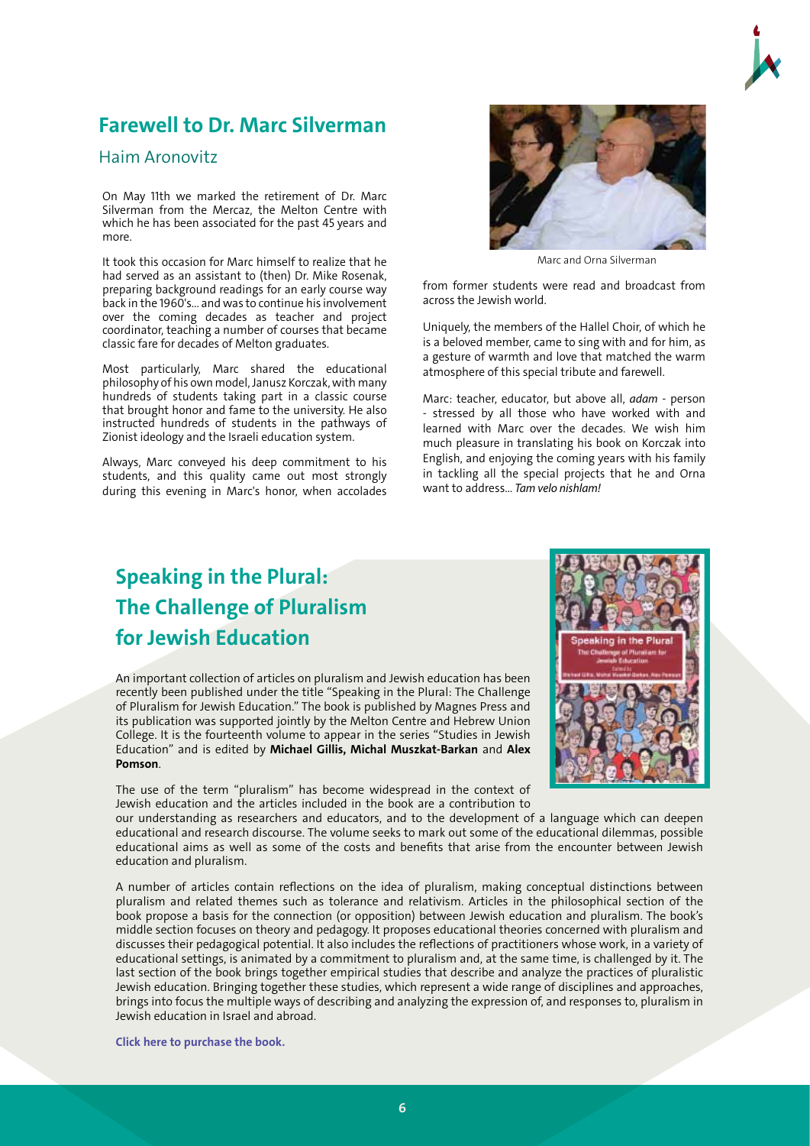## **Farewell to Dr. Marc Silverman**

#### Haim Aronovitz

On May 11th we marked the retirement of Dr. Marc Silverman from the Mercaz, the Melton Centre with which he has been associated for the past 45 years and more.

It took this occasion for Marc himself to realize that he had served as an assistant to (then) Dr. Mike Rosenak, preparing background readings for an early course way back in the 1960's... and was to continue his involvement over the coming decades as teacher and project coordinator, teaching a number of courses that became classic fare for decades of Melton graduates.

Most particularly, Marc shared the educational philosophy of his own model, Janusz Korczak, with many hundreds of students taking part in a classic course that brought honor and fame to the university. He also instructed hundreds of students in the pathways of Zionist ideology and the Israeli education system.

Always, Marc conveyed his deep commitment to his students, and this quality came out most strongly during this evening in Marc's honor, when accolades



Marc and Orna Silverman

from former students were read and broadcast from across the Jewish world.

Uniquely, the members of the Hallel Choir, of which he is a beloved member, came to sing with and for him, as a gesture of warmth and love that matched the warm atmosphere of this special tribute and farewell.

Marc: teacher, educator, but above all, *adam* - person stressed by all those who have worked with and learned with Marc over the decades. We wish him much pleasure in translating his book on Korczak into English, and enjoying the coming years with his family in tackling all the special projects that he and Orna want to address... *Tam velo nishlam!* 

## **Speaking in the Plural: The Challenge of Pluralism for Jewish Education**

An important collection of articles on pluralism and Jewish education has been recently been published under the title "Speaking in the Plural: The Challenge of Pluralism for Jewish Education." The book is published by Magnes Press and its publication was supported jointly by the Melton Centre and Hebrew Union College. It is the fourteenth volume to appear in the series "Studies in Jewish Education" and is edited by **Michael Gillis, Michal Muszkat-Barkan** and **Alex Pomson**.

The use of the term "pluralism" has become widespread in the context of Jewish education and the articles included in the book are a contribution to



our understanding as researchers and educators, and to the development of a language which can deepen educational and research discourse. The volume seeks to mark out some of the educational dilemmas, possible educational aims as well as some of the costs and benefits that arise from the encounter between Jewish education and pluralism.

A number of articles contain reflections on the idea of pluralism, making conceptual distinctions between pluralism and related themes such as tolerance and relativism. Articles in the philosophical section of the book propose a basis for the connection (or opposition) between Jewish education and pluralism. The book's middle section focuses on theory and pedagogy. It proposes educational theories concerned with pluralism and discusses their pedagogical potential. It also includes the reflections of practitioners whose work, in a variety of educational settings, is animated by a commitment to pluralism and, at the same time, is challenged by it. The last section of the book brings together empirical studies that describe and analyze the practices of pluralistic Jewish education. Bringing together these studies, which represent a wide range of disciplines and approaches, brings into focus the multiple ways of describing and analyzing the expression of, and responses to, pluralism in Jewish education in Israel and abroad.

**[Click here to purchase the book.](http://www.magnes-press.com/Book/Speaking+in+the+plural+-+The+Challenge+of+Pluralism+for+Jewish+Education.aspx?code=45-232033)**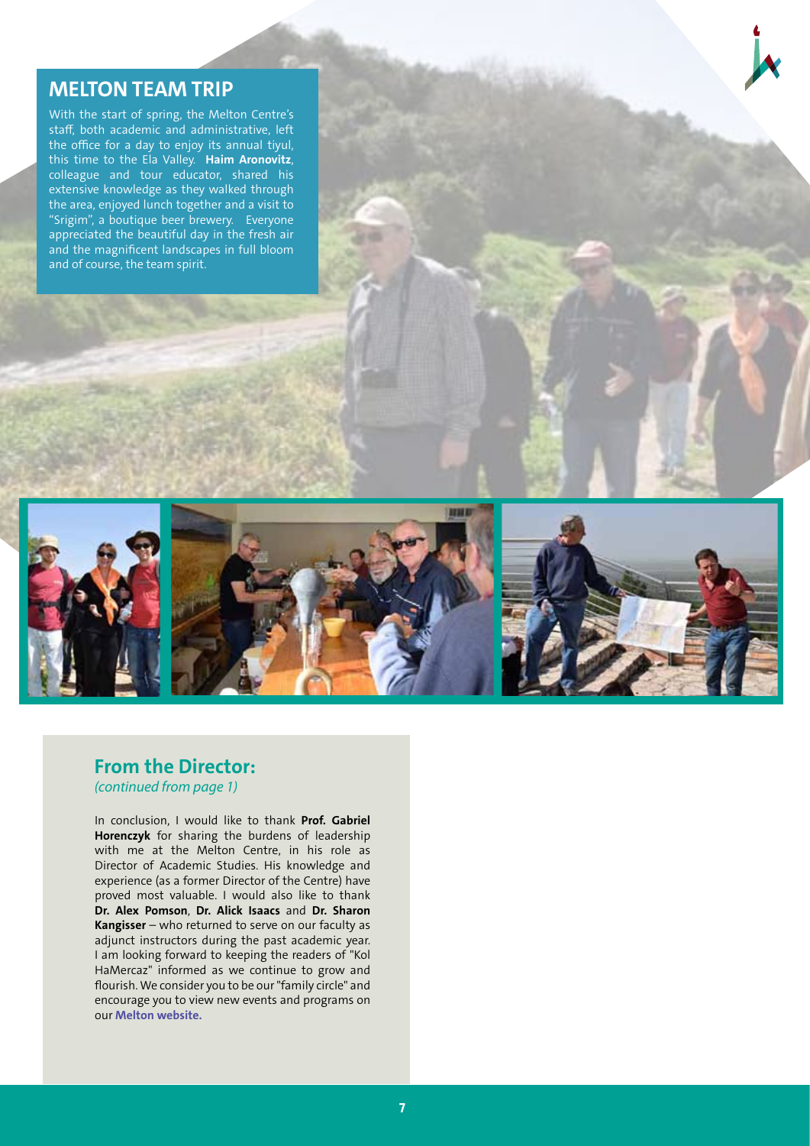#### **MELTON TEAM TRIP**

With the start of spring, the Melton Centre's staff, both academic and administrative, left the office for a day to enjoy its annual tiyul, this time to the Ela Valley. **Haim Aronovitz**, colleague and tour educator, shared his extensive knowledge as they walked through the area, enjoyed lunch together and a visit to "Srigim", a boutique beer brewery. Everyone appreciated the beautiful day in the fresh air and the magnificent landscapes in full bloom and of course, the team spirit.



#### **From the Director:**  *(continued from page 1)*

In conclusion, I would like to thank **Prof. Gabriel Horenczyk** for sharing the burdens of leadership with me at the Melton Centre, in his role as Director of Academic Studies. His knowledge and experience (as a former Director of the Centre) have proved most valuable. I would also like to thank **Dr. Alex Pomson**, **Dr. Alick Isaacs** and **Dr. Sharon Kangisser** – who returned to serve on our faculty as adjunct instructors during the past academic year. I am looking forward to keeping the readers of "Kol HaMercaz" informed as we continue to grow and flourish. We consider you to be our "family circle" and en[courage you to view](http://melton.huji.ac.il/index.php/en/home-page) new events and programs on our **Melton website.**